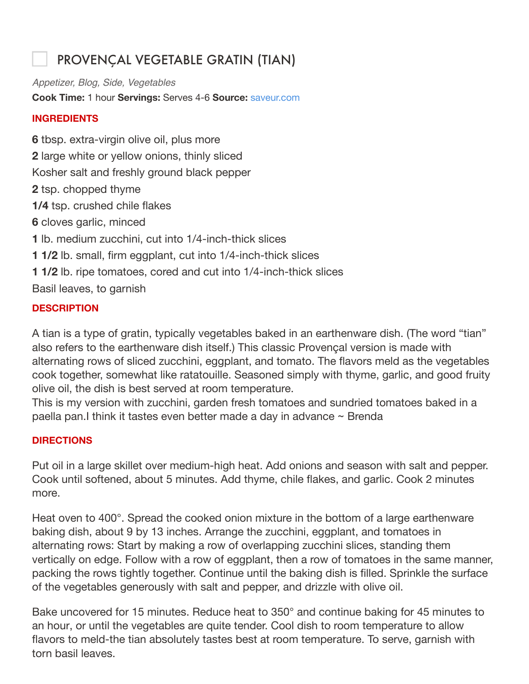## PROVENÇAL VEGETABLE GRATIN (TIAN)

*Appetizer, Blog, Side, Vegetables* **Cook Time:** 1 hour **Servings:** Serves 4-6 **Source:** saveur.com

## **INGREDIENTS**

**6** tbsp. extra-virgin olive oil, plus more **2** large white or yellow onions, thinly sliced Kosher salt and freshly ground black pepper **2** tsp. chopped thyme **1/4** tsp. crushed chile flakes **6** cloves garlic, minced **1** lb. medium zucchini, cut into 1/4-inch-thick slices **1 1/2** lb. small, firm eggplant, cut into 1/4-inch-thick slices **1 1/2** lb. ripe tomatoes, cored and cut into 1/4-inch-thick slices Basil leaves, to garnish

## **DESCRIPTION**

A tian is a type of gratin, typically vegetables baked in an earthenware dish. (The word "tian" also refers to the earthenware dish itself.) This classic Provençal version is made with alternating rows of sliced zucchini, eggplant, and tomato. The flavors meld as the vegetables cook together, somewhat like ratatouille. Seasoned simply with thyme, garlic, and good fruity olive oil, the dish is best served at room temperature.

This is my version with zucchini, garden fresh tomatoes and sundried tomatoes baked in a paella pan.I think it tastes even better made a day in advance ~ Brenda

## **DIRECTIONS**

Put oil in a large skillet over medium-high heat. Add onions and season with salt and pepper. Cook until softened, about 5 minutes. Add thyme, chile flakes, and garlic. Cook 2 minutes more.

Heat oven to 400°. Spread the cooked onion mixture in the bottom of a large earthenware baking dish, about 9 by 13 inches. Arrange the zucchini, eggplant, and tomatoes in alternating rows: Start by making a row of overlapping zucchini slices, standing them vertically on edge. Follow with a row of eggplant, then a row of tomatoes in the same manner, packing the rows tightly together. Continue until the baking dish is filled. Sprinkle the surface of the vegetables generously with salt and pepper, and drizzle with olive oil.

Bake uncovered for 15 minutes. Reduce heat to 350° and continue baking for 45 minutes to an hour, or until the vegetables are quite tender. Cool dish to room temperature to allow flavors to meld-the tian absolutely tastes best at room temperature. To serve, garnish with torn basil leaves.